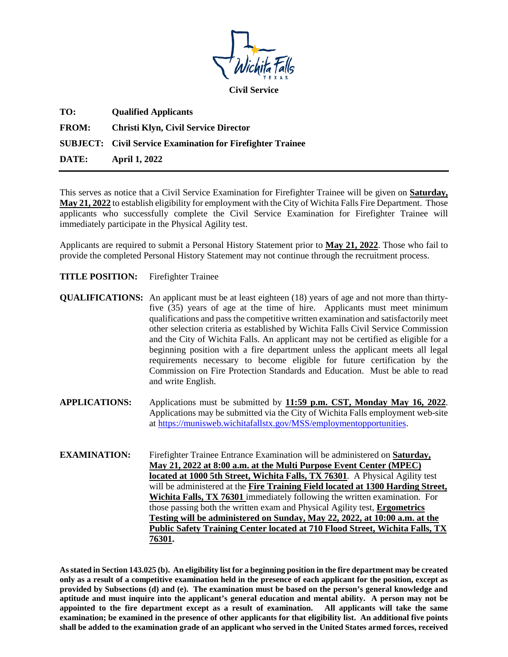

**Civil Service**

| TO:          | <b>Qualified Applicants</b>                                       |
|--------------|-------------------------------------------------------------------|
| <b>FROM:</b> | Christi Klyn, Civil Service Director                              |
|              | <b>SUBJECT:</b> Civil Service Examination for Firefighter Trainee |
| DATE:        | <b>April 1, 2022</b>                                              |

This serves as notice that a Civil Service Examination for Firefighter Trainee will be given on **Saturday, May 21, 2022** to establish eligibility for employment with the City of Wichita Falls Fire Department. Those applicants who successfully complete the Civil Service Examination for Firefighter Trainee will immediately participate in the Physical Agility test.

Applicants are required to submit a Personal History Statement prior to **May 21, 2022**. Those who fail to provide the completed Personal History Statement may not continue through the recruitment process.

- **TITLE POSITION:** Firefighter Trainee
- **QUALIFICATIONS:** An applicant must be at least eighteen (18) years of age and not more than thirtyfive (35) years of age at the time of hire. Applicants must meet minimum qualifications and pass the competitive written examination and satisfactorily meet other selection criteria as established by Wichita Falls Civil Service Commission and the City of Wichita Falls. An applicant may not be certified as eligible for a beginning position with a fire department unless the applicant meets all legal requirements necessary to become eligible for future certification by the Commission on Fire Protection Standards and Education. Must be able to read and write English.
- **APPLICATIONS:** Applications must be submitted by **11:59 p.m. CST, Monday May 16, 2022**. Applications may be submitted via the City of Wichita Falls employment web-site at https://munisweb.wichitafallstx.gov/MSS/employmentopportunities.
- **EXAMINATION:** Firefighter Trainee Entrance Examination will be administered on **Saturday, May 21, 2022 at 8:00 a.m. at the Multi Purpose Event Center (MPEC) located at 1000 5th Street, Wichita Falls, TX 76301**. A Physical Agility test will be administered at the **Fire Training Field located at 1300 Harding Street, Wichita Falls, TX 76301** immediately following the written examination. For those passing both the written exam and Physical Agility test, **Ergometrics Testing will be administered on Sunday, May 22, 2022, at 10:00 a.m. at the Public Safety Training Center located at 710 Flood Street, Wichita Falls, TX 76301.**

**As stated in Section 143.025 (b). An eligibility list for a beginning position in the fire department may be created only as a result of a competitive examination held in the presence of each applicant for the position, except as provided by Subsections (d) and (e). The examination must be based on the person's general knowledge and aptitude and must inquire into the applicant's general education and mental ability. A person may not be appointed to the fire department except as a result of examination. All applicants will take the same examination; be examined in the presence of other applicants for that eligibility list. An additional five points shall be added to the examination grade of an applicant who served in the United States armed forces, received**